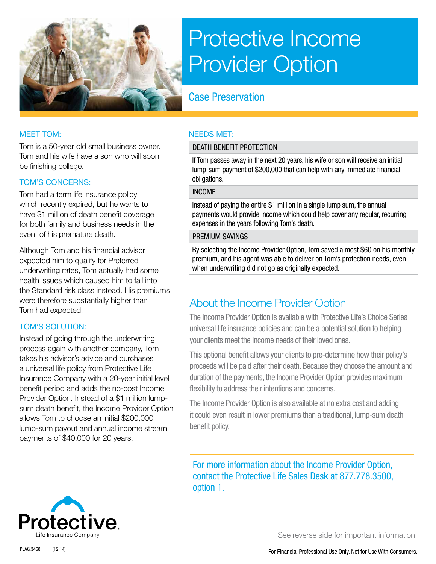

# Protective Income Provider Option

# Case Preservation

Tom is a 50-year old small business owner. Tom and his wife have a son who will soon be finishing college.

#### TOM'S CONCERNS:

Tom had a term life insurance policy which recently expired, but he wants to have \$1 million of death benefit coverage for both family and business needs in the event of his premature death.

Although Tom and his financial advisor expected him to qualify for Preferred underwriting rates, Tom actually had some health issues which caused him to fall into the Standard risk class instead. His premiums were therefore substantially higher than Tom had expected.

### TOM'S SOLUTION:

Instead of going through the underwriting process again with another company, Tom takes his advisor's advice and purchases a universal life policy from Protective Life Insurance Company with a 20-year initial level benefit period and adds the no-cost Income Provider Option. Instead of a \$1 million lumpsum death benefit, the Income Provider Option allows Tom to choose an initial \$200,000 lump-sum payout and annual income stream payments of \$40,000 for 20 years.

#### MEET TOM: NEEDS MET:

#### DEATH BENEFIT PROTECTION

If Tom passes away in the next 20 years, his wife or son will receive an initial lump-sum payment of \$200,000 that can help with any immediate financial obligations.

#### INCOME

Instead of paying the entire \$1 million in a single lump sum, the annual payments would provide income which could help cover any regular, recurring expenses in the years following Tom's death.

#### PREMIUM SAVINGS

By selecting the Income Provider Option, Tom saved almost \$60 on his monthly premium, and his agent was able to deliver on Tom's protection needs, even when underwriting did not go as originally expected.

## About the Income Provider Option

The Income Provider Option is available with Protective Life's Choice Series universal life insurance policies and can be a potential solution to helping your clients meet the income needs of their loved ones.

This optional benefit allows your clients to pre-determine how their policy's proceeds will be paid after their death. Because they choose the amount and duration of the payments, the Income Provider Option provides maximum flexibility to address their intentions and concerns.

The Income Provider Option is also available at no extra cost and adding it could even result in lower premiums than a traditional, lump-sum death benefit policy.

For more information about the Income Provider Option, contact the Protective Life Sales Desk at 877.778.3500, option 1.



See reverse side for important information.